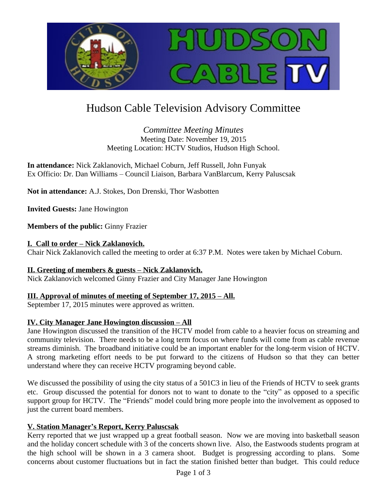

# Hudson Cable Television Advisory Committee

## *Committee Meeting Minutes* Meeting Date: November 19, 2015 Meeting Location: HCTV Studios, Hudson High School.

**In attendance:** Nick Zaklanovich, Michael Coburn, Jeff Russell, John Funyak Ex Officio: Dr. Dan Williams – Council Liaison, Barbara VanBlarcum, Kerry Paluscsak

**Not in attendance:** A.J. Stokes, Don Drenski, Thor Wasbotten

**Invited Guests:** Jane Howington

**Members of the public:** Ginny Frazier

## **I. Call to order – Nick Zaklanovich.**

Chair Nick Zaklanovich called the meeting to order at 6:37 P.M. Notes were taken by Michael Coburn.

## **II. Greeting of members & guests – Nick Zaklanovich.**

Nick Zaklanovich welcomed Ginny Frazier and City Manager Jane Howington

# **III. Approval of minutes of meeting of September 17, 2015 – All.**

September 17, 2015 minutes were approved as written.

# **IV. City Manager Jane Howington discussion – All**

Jane Howington discussed the transition of the HCTV model from cable to a heavier focus on streaming and community television. There needs to be a long term focus on where funds will come from as cable revenue streams diminish. The broadband initiative could be an important enabler for the long-term vision of HCTV. A strong marketing effort needs to be put forward to the citizens of Hudson so that they can better understand where they can receive HCTV programing beyond cable.

We discussed the possibility of using the city status of a 501C3 in lieu of the Friends of HCTV to seek grants etc. Group discussed the potential for donors not to want to donate to the "city" as opposed to a specific support group for HCTV. The "Friends" model could bring more people into the involvement as opposed to just the current board members.

# **V. Station Manager's Report, Kerry Paluscsak**

Kerry reported that we just wrapped up a great football season. Now we are moving into basketball season and the holiday concert schedule with 3 of the concerts shown live. Also, the Eastwoods students program at the high school will be shown in a 3 camera shoot. Budget is progressing according to plans. Some concerns about customer fluctuations but in fact the station finished better than budget. This could reduce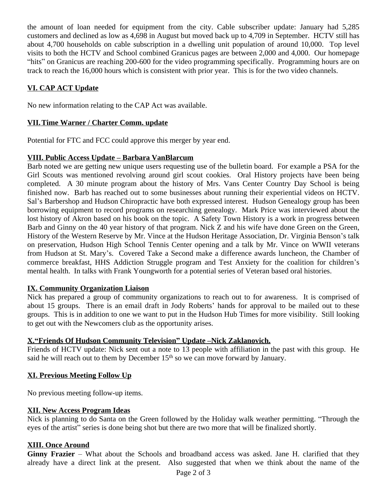the amount of loan needed for equipment from the city. Cable subscriber update: January had 5,285 customers and declined as low as 4,698 in August but moved back up to 4,709 in September. HCTV still has about 4,700 households on cable subscription in a dwelling unit population of around 10,000. Top level visits to both the HCTV and School combined Granicus pages are between 2,000 and 4,000. Our homepage "hits" on Granicus are reaching 200-600 for the video programming specifically. Programming hours are on track to reach the 16,000 hours which is consistent with prior year. This is for the two video channels.

# **VI. CAP ACT Update**

No new information relating to the CAP Act was available.

#### **VII.Time Warner / Charter Comm. update**

Potential for FTC and FCC could approve this merger by year end.

#### **VIII. Public Access Update – Barbara VanBlarcum**

Barb noted we are getting new unique users requesting use of the bulletin board. For example a PSA for the Girl Scouts was mentioned revolving around girl scout cookies. Oral History projects have been being completed. A 30 minute program about the history of Mrs. Vans Center Country Day School is being finished now. Barb has reached out to some businesses about running their experiential videos on HCTV. Sal's Barbershop and Hudson Chiropractic have both expressed interest. Hudson Genealogy group has been borrowing equipment to record programs on researching genealogy. Mark Price was interviewed about the lost history of Akron based on his book on the topic. A Safety Town History is a work in progress between Barb and Ginny on the 40 year history of that program. Nick Z and his wife have done Green on the Green, History of the Western Reserve by Mr. Vince at the Hudson Heritage Association, Dr. Virginia Benson's talk on preservation, Hudson High School Tennis Center opening and a talk by Mr. Vince on WWII veterans from Hudson at St. Mary's. Covered Take a Second make a difference awards luncheon, the Chamber of commerce breakfast, HHS Addiction Struggle program and Test Anxiety for the coalition for children's mental health. In talks with Frank Youngworth for a potential series of Veteran based oral histories.

## **IX. Community Organization Liaison**

Nick has prepared a group of community organizations to reach out to for awareness. It is comprised of about 15 groups. There is an email draft in Jody Roberts' hands for approval to be mailed out to these groups. This is in addition to one we want to put in the Hudson Hub Times for more visibility. Still looking to get out with the Newcomers club as the opportunity arises.

## **X."Friends Of Hudson Community Television" Update –Nick Zaklanovich.**

Friends of HCTV update: Nick sent out a note to 13 people with affiliation in the past with this group. He said he will reach out to them by December  $15<sup>th</sup>$  so we can move forward by January.

## **XI. Previous Meeting Follow Up**

No previous meeting follow-up items.

#### **XII. New Access Program Ideas**

Nick is planning to do Santa on the Green followed by the Holiday walk weather permitting. "Through the eyes of the artist" series is done being shot but there are two more that will be finalized shortly.

#### **XIII. Once Around**

**Ginny Frazier** – What about the Schools and broadband access was asked. Jane H. clarified that they already have a direct link at the present. Also suggested that when we think about the name of the